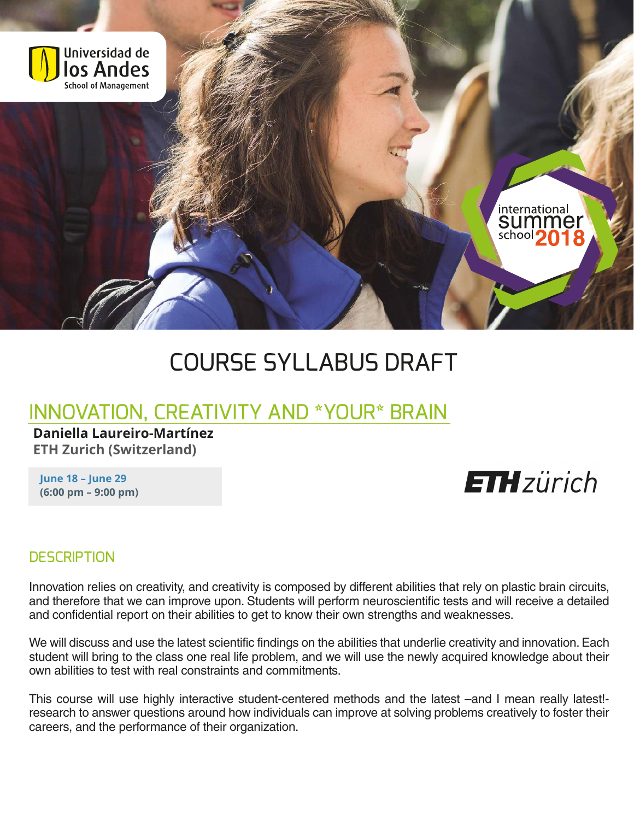

# COURSE SYLLABUS DRAFT

# INNOVATION, CREATIVITY AND \*YOUR\* BRAIN

**Daniella Laureiro-Martínez ETH Zurich (Switzerland)**

**June 18 – June 29 (6:00 pm – 9:00 pm)**

# **ETH**zürich

#### **DESCRIPTION**

Innovation relies on creativity, and creativity is composed by different abilities that rely on plastic brain circuits, and therefore that we can improve upon. Students will perform neuroscientific tests and will receive a detailed and confidential report on their abilities to get to know their own strengths and weaknesses.

We will discuss and use the latest scientific findings on the abilities that underlie creativity and innovation. Each student will bring to the class one real life problem, and we will use the newly acquired knowledge about their own abilities to test with real constraints and commitments.

This course will use highly interactive student-centered methods and the latest –and I mean really latest!research to answer questions around how individuals can improve at solving problems creatively to foster their careers, and the performance of their organization.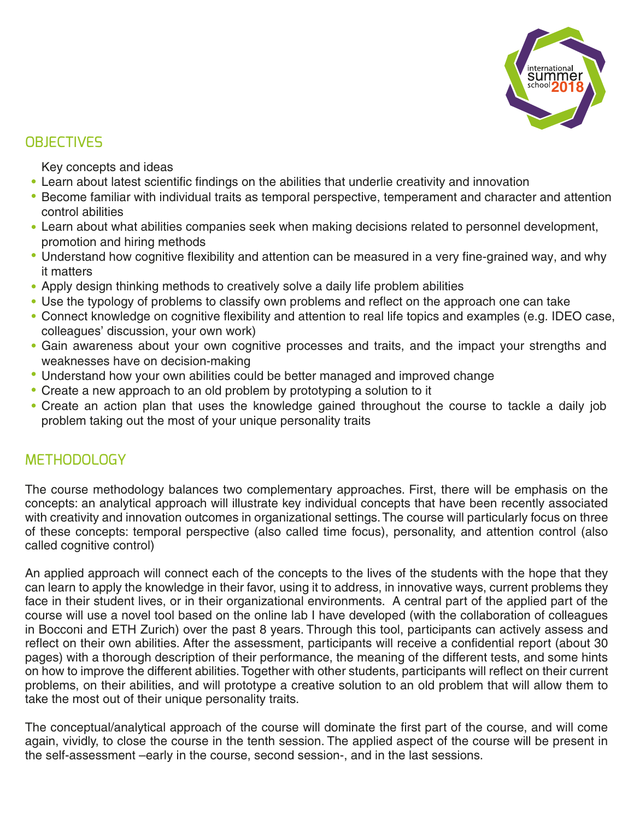

## **OBJECTIVES**

Key concepts and ideas

- Learn about latest scientific findings on the abilities that underlie creativity and innovation
- Become familiar with individual traits as temporal perspective, temperament and character and attention control abilities
- Learn about what abilities companies seek when making decisions related to personnel development, promotion and hiring methods
- Understand how cognitive flexibility and attention can be measured in a very fine-grained way, and why it matters
- Apply design thinking methods to creatively solve a daily life problem abilities
- Use the typology of problems to classify own problems and reflect on the approach one can take
- Connect knowledge on cognitive flexibility and attention to real life topics and examples (e.g. IDEO case, colleagues' discussion, your own work)
- Gain awareness about your own cognitive processes and traits, and the impact your strengths and weaknesses have on decision-making
- Understand how your own abilities could be better managed and improved change
- Create a new approach to an old problem by prototyping a solution to it
- Create an action plan that uses the knowledge gained throughout the course to tackle a daily job problem taking out the most of your unique personality traits

### **METHODOLOGY**

The course methodology balances two complementary approaches. First, there will be emphasis on the concepts: an analytical approach will illustrate key individual concepts that have been recently associated with creativity and innovation outcomes in organizational settings. The course will particularly focus on three of these concepts: temporal perspective (also called time focus), personality, and attention control (also called cognitive control)

An applied approach will connect each of the concepts to the lives of the students with the hope that they can learn to apply the knowledge in their favor, using it to address, in innovative ways, current problems they face in their student lives, or in their organizational environments. A central part of the applied part of the course will use a novel tool based on the online lab I have developed (with the collaboration of colleagues in Bocconi and ETH Zurich) over the past 8 years. Through this tool, participants can actively assess and reflect on their own abilities. After the assessment, participants will receive a confidential report (about 30 pages) with a thorough description of their performance, the meaning of the different tests, and some hints on how to improve the different abilities.Together with other students, participants will reflect on their current problems, on their abilities, and will prototype a creative solution to an old problem that will allow them to take the most out of their unique personality traits.

The conceptual/analytical approach of the course will dominate the first part of the course, and will come again, vividly, to close the course in the tenth session. The applied aspect of the course will be present in the self-assessment –early in the course, second session-, and in the last sessions.